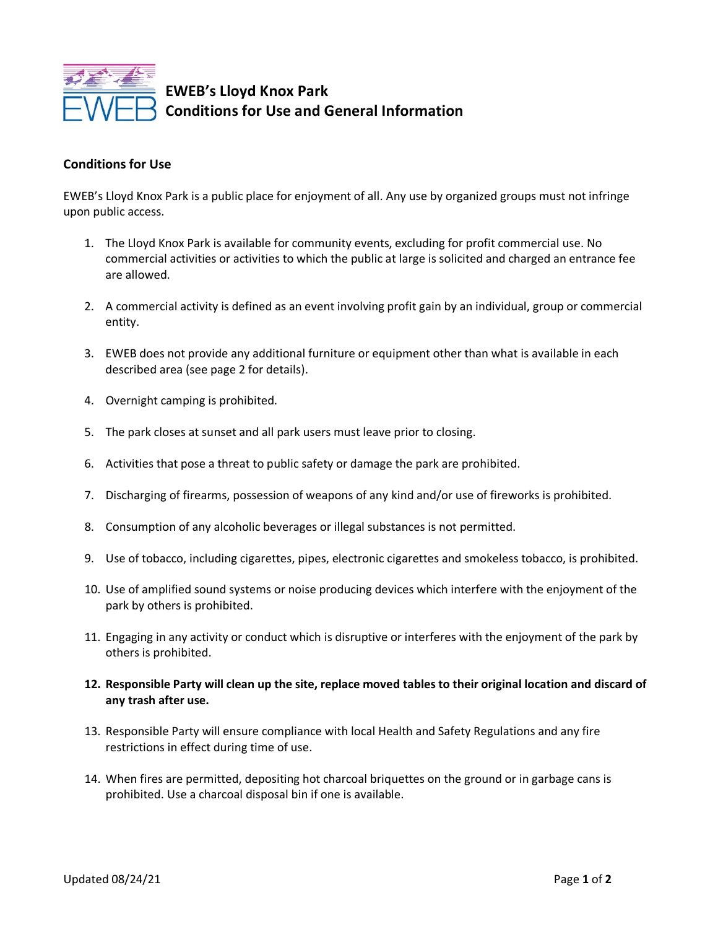

**EWEB's Lloyd Knox Park Conditions for Use and General Information**

## **Conditions for Use**

EWEB's Lloyd Knox Park is a public place for enjoyment of all. Any use by organized groups must not infringe upon public access.

- 1. The Lloyd Knox Park is available for community events, excluding for profit commercial use. No commercial activities or activities to which the public at large is solicited and charged an entrance fee are allowed.
- 2. A commercial activity is defined as an event involving profit gain by an individual, group or commercial entity.
- 3. EWEB does not provide any additional furniture or equipment other than what is available in each described area (see page 2 for details).
- 4. Overnight camping is prohibited.
- 5. The park closes at sunset and all park users must leave prior to closing.
- 6. Activities that pose a threat to public safety or damage the park are prohibited.
- 7. Discharging of firearms, possession of weapons of any kind and/or use of fireworks is prohibited.
- 8. Consumption of any alcoholic beverages or illegal substances is not permitted.
- 9. Use of tobacco, including cigarettes, pipes, electronic cigarettes and smokeless tobacco, is prohibited.
- 10. Use of amplified sound systems or noise producing devices which interfere with the enjoyment of the park by others is prohibited.
- 11. Engaging in any activity or conduct which is disruptive or interferes with the enjoyment of the park by others is prohibited.
- **12. Responsible Party will clean up the site, replace moved tables to their original location and discard of any trash after use.**
- 13. Responsible Party will ensure compliance with local Health and Safety Regulations and any fire restrictions in effect during time of use.
- 14. When fires are permitted, depositing hot charcoal briquettes on the ground or in garbage cans is prohibited. Use a charcoal disposal bin if one is available.